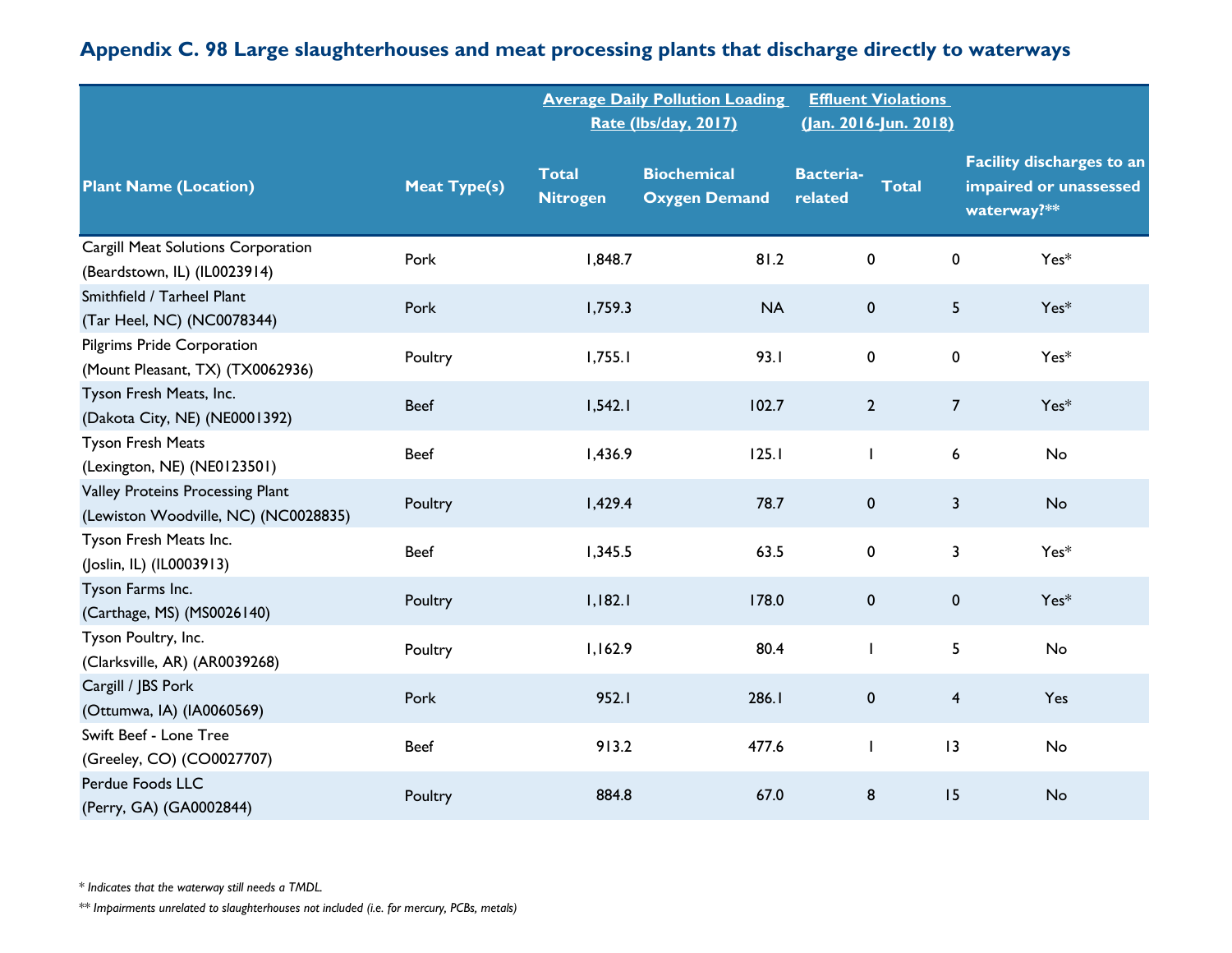|                                                                          |                     |                                 | <b>Average Daily Pollution Loading</b><br><b>Rate (Ibs/day, 2017)</b> |                             | <b>Effluent Violations</b><br>(Jan. 2016-Jun. 2018) |                                                                           |
|--------------------------------------------------------------------------|---------------------|---------------------------------|-----------------------------------------------------------------------|-----------------------------|-----------------------------------------------------|---------------------------------------------------------------------------|
| <b>Plant Name (Location)</b>                                             | <b>Meat Type(s)</b> | <b>Total</b><br><b>Nitrogen</b> | <b>Biochemical</b><br><b>Oxygen Demand</b>                            | <b>Bacteria-</b><br>related | <b>Total</b>                                        | <b>Facility discharges to an</b><br>impaired or unassessed<br>waterway?** |
| Cargill Meat Solutions Corporation<br>(Beardstown, IL) (IL0023914)       | Pork                | 1,848.7                         | 81.2                                                                  | $\pmb{0}$                   | 0                                                   | $Yes*$                                                                    |
| Smithfield / Tarheel Plant<br>(Tar Heel, NC) (NC0078344)                 | Pork                | 1,759.3                         | <b>NA</b>                                                             | $\pmb{0}$                   | 5                                                   | $Yes*$                                                                    |
| <b>Pilgrims Pride Corporation</b><br>(Mount Pleasant, TX) (TX0062936)    | Poultry             | 1,755.1                         | 93.1                                                                  | 0                           | 0                                                   | Yes*                                                                      |
| Tyson Fresh Meats, Inc.<br>(Dakota City, NE) (NE0001392)                 | <b>Beef</b>         | 1,542.1                         | 102.7                                                                 | $\overline{2}$              | $\overline{7}$                                      | $Yes*$                                                                    |
| <b>Tyson Fresh Meats</b><br>(Lexington, NE) (NE0123501)                  | <b>Beef</b>         | 1,436.9                         | 125.1                                                                 | $\mathbf{I}$                | 6                                                   | No                                                                        |
| Valley Proteins Processing Plant<br>(Lewiston Woodville, NC) (NC0028835) | Poultry             | 1,429.4                         | 78.7                                                                  | $\pmb{0}$                   | $\overline{\mathbf{3}}$                             | <b>No</b>                                                                 |
| Tyson Fresh Meats Inc.<br>(Joslin, IL) (IL0003913)                       | <b>Beef</b>         | 1,345.5                         | 63.5                                                                  | $\mathbf 0$                 | 3                                                   | Yes*                                                                      |
| Tyson Farms Inc.<br>(Carthage, MS) (MS0026140)                           | Poultry             | 1,182.1                         | 178.0                                                                 | $\pmb{0}$                   | $\mathbf 0$                                         | $Yes*$                                                                    |
| Tyson Poultry, Inc.<br>(Clarksville, AR) (AR0039268)                     | Poultry             | 1,162.9                         | 80.4                                                                  | 1                           | 5                                                   | No                                                                        |
| Cargill / JBS Pork<br>(Ottumwa, IA) (IA0060569)                          | Pork                | 952.1                           | 286.1                                                                 | $\pmb{0}$                   | $\overline{\mathbf{4}}$                             | Yes                                                                       |
| Swift Beef - Lone Tree<br>(Greeley, CO) (CO0027707)                      | <b>Beef</b>         | 913.2                           | 477.6                                                                 | $\mathbf{I}$                | 3                                                   | No                                                                        |
| Perdue Foods LLC<br>(Perry, GA) (GA0002844)                              | Poultry             | 884.8                           | 67.0                                                                  | 8                           | 15                                                  | No                                                                        |

*\* Indicates that the waterway still needs a TMDL.*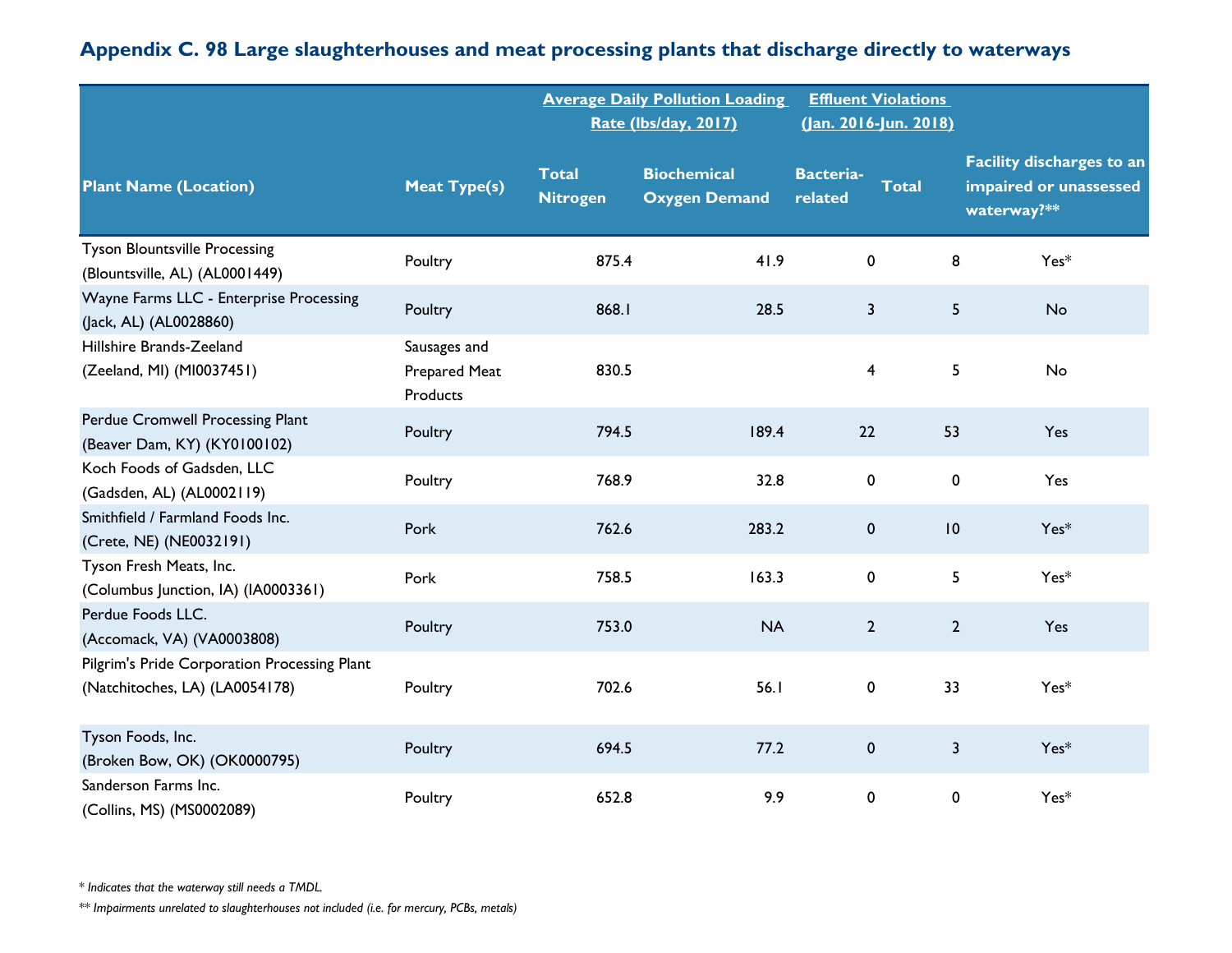|                                                                                |                                                  |                                 | <b>Average Daily Pollution Loading</b><br>Rate (lbs/day, 2017) |                             | <b>Effluent Violations</b><br>(Jan. 2016-Jun. 2018) |                                                                           |
|--------------------------------------------------------------------------------|--------------------------------------------------|---------------------------------|----------------------------------------------------------------|-----------------------------|-----------------------------------------------------|---------------------------------------------------------------------------|
| <b>Plant Name (Location)</b>                                                   | <b>Meat Type(s)</b>                              | <b>Total</b><br><b>Nitrogen</b> | <b>Biochemical</b><br><b>Oxygen Demand</b>                     | <b>Bacteria-</b><br>related | <b>Total</b>                                        | <b>Facility discharges to an</b><br>impaired or unassessed<br>waterway?** |
| <b>Tyson Blountsville Processing</b><br>(Blountsville, AL) (AL0001449)         | Poultry                                          | 875.4                           | 41.9                                                           | $\mathbf 0$                 | 8                                                   | Yes*                                                                      |
| Wayne Farms LLC - Enterprise Processing<br>(Jack, AL) (AL0028860)              | Poultry                                          | 868.1                           | 28.5                                                           | $\mathbf{3}$                | 5                                                   | No                                                                        |
| Hillshire Brands-Zeeland<br>(Zeeland, MI) (MI0037451)                          | Sausages and<br>Prepared Meat<br><b>Products</b> | 830.5                           |                                                                | 4                           | 5                                                   | No                                                                        |
| Perdue Cromwell Processing Plant<br>(Beaver Dam, KY) (KY0100102)               | Poultry                                          | 794.5                           | 189.4                                                          | 22                          | 53                                                  | Yes                                                                       |
| Koch Foods of Gadsden, LLC<br>(Gadsden, AL) (AL0002119)                        | Poultry                                          | 768.9                           | 32.8                                                           | 0                           | 0                                                   | Yes                                                                       |
| Smithfield / Farmland Foods Inc.<br>(Crete, NE) (NE0032191)                    | Pork                                             | 762.6                           | 283.2                                                          | 0                           | 10                                                  | $Yes*$                                                                    |
| Tyson Fresh Meats, Inc.<br>(Columbus Junction, IA) (IA0003361)                 | Pork                                             | 758.5                           | 163.3                                                          | 0                           | 5                                                   | $Yes*$                                                                    |
| Perdue Foods LLC.<br>(Accomack, VA) (VA0003808)                                | Poultry                                          | 753.0                           | <b>NA</b>                                                      | $\mathbf{2}$                | $\overline{2}$                                      | Yes                                                                       |
| Pilgrim's Pride Corporation Processing Plant<br>(Natchitoches, LA) (LA0054178) | Poultry                                          | 702.6                           | 56.I                                                           | 0                           | 33                                                  | Yes*                                                                      |
| Tyson Foods, Inc.<br>(Broken Bow, OK) (OK0000795)                              | Poultry                                          | 694.5                           | 77.2                                                           | 0                           | $\overline{\mathbf{3}}$                             | $Yes*$                                                                    |
| Sanderson Farms Inc.<br>(Collins, MS) (MS0002089)                              | Poultry                                          | 652.8                           | 9.9                                                            | 0                           | 0                                                   | Yes*                                                                      |

*\* Indicates that the waterway still needs a TMDL.*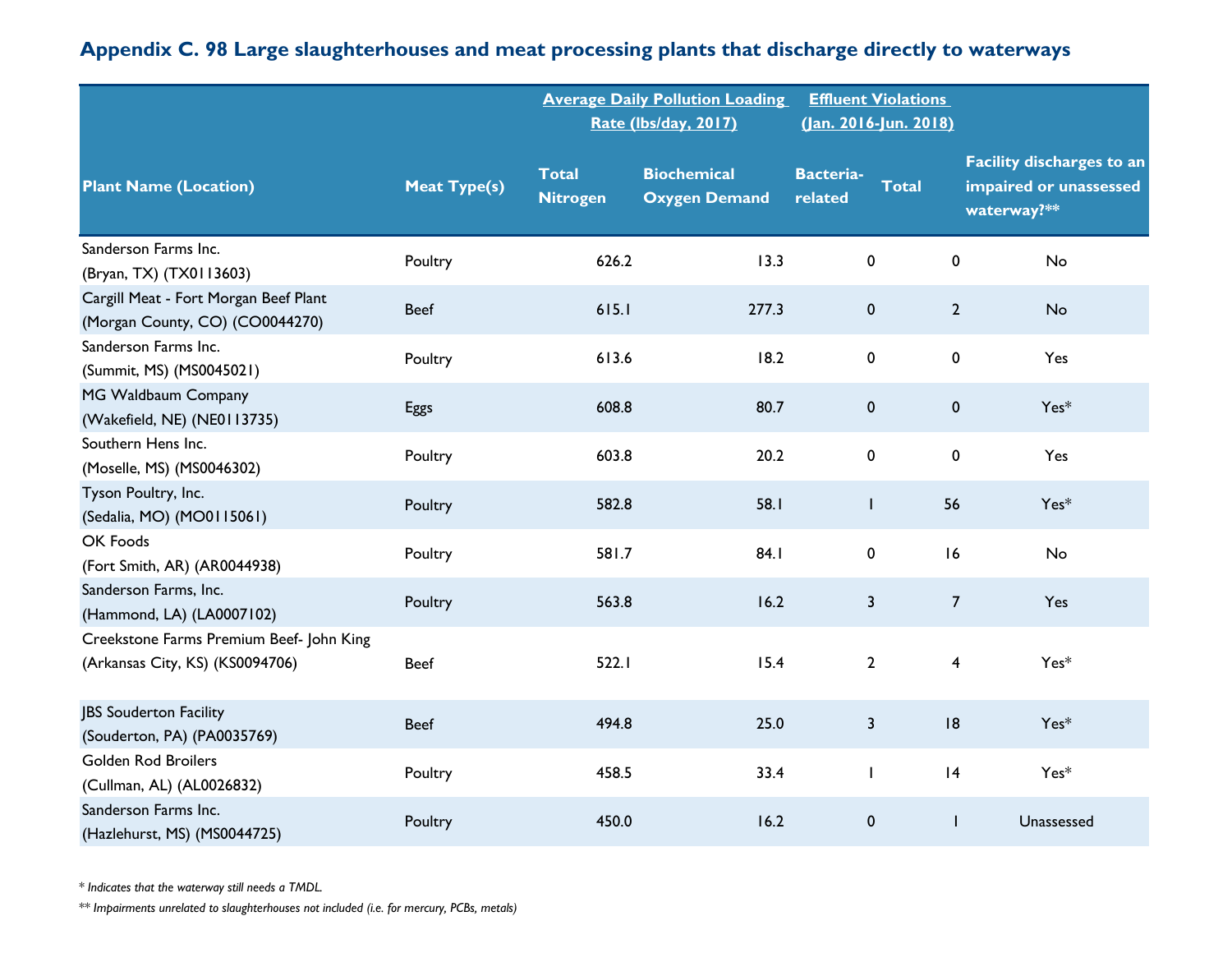|                                                                             |                     |                                 | <b>Average Daily Pollution Loading</b><br><b>Rate (Ibs/day, 2017)</b> |                             | <b>Effluent Violations</b><br>(Jan. 2016-Jun. 2018) |                                                                           |
|-----------------------------------------------------------------------------|---------------------|---------------------------------|-----------------------------------------------------------------------|-----------------------------|-----------------------------------------------------|---------------------------------------------------------------------------|
| <b>Plant Name (Location)</b>                                                | <b>Meat Type(s)</b> | <b>Total</b><br><b>Nitrogen</b> | <b>Biochemical</b><br><b>Oxygen Demand</b>                            | <b>Bacteria-</b><br>related | <b>Total</b>                                        | <b>Facility discharges to an</b><br>impaired or unassessed<br>waterway?** |
| Sanderson Farms Inc.<br>(Bryan, TX) (TX0113603)                             | Poultry             | 626.2                           | 13.3                                                                  | 0                           | 0                                                   | No                                                                        |
| Cargill Meat - Fort Morgan Beef Plant<br>(Morgan County, CO) (CO0044270)    | <b>Beef</b>         | 615.1                           | 277.3                                                                 | $\pmb{0}$                   | $\overline{2}$                                      | No                                                                        |
| Sanderson Farms Inc.<br>(Summit, MS) (MS0045021)                            | Poultry             | 613.6                           | 18.2                                                                  | $\pmb{0}$                   | $\pmb{0}$                                           | Yes                                                                       |
| MG Waldbaum Company<br>(Wakefield, NE) (NE0113735)                          | <b>Eggs</b>         | 608.8                           | 80.7                                                                  | $\pmb{0}$                   | $\pmb{0}$                                           | $Yes*$                                                                    |
| Southern Hens Inc.<br>(Moselle, MS) (MS0046302)                             | Poultry             | 603.8                           | 20.2                                                                  | $\pmb{0}$                   | 0                                                   | Yes                                                                       |
| Tyson Poultry, Inc.<br>(Sedalia, MO) (MO0115061)                            | Poultry             | 582.8                           | 58.I                                                                  | T                           | 56                                                  | $Yes*$                                                                    |
| OK Foods<br>(Fort Smith, AR) (AR0044938)                                    | Poultry             | 581.7                           | 84.I                                                                  | $\pmb{0}$                   | 16                                                  | No                                                                        |
| Sanderson Farms, Inc.<br>(Hammond, LA) (LA0007102)                          | Poultry             | 563.8                           | 16.2                                                                  | 3                           | $\overline{7}$                                      | Yes                                                                       |
| Creekstone Farms Premium Beef- John King<br>(Arkansas City, KS) (KS0094706) | <b>Beef</b>         | 522.1                           | 15.4                                                                  | $\overline{2}$              | 4                                                   | $Yes*$                                                                    |
| JBS Souderton Facility<br>(Souderton, PA) (PA0035769)                       | <b>Beef</b>         | 494.8                           | 25.0                                                                  | $\overline{\mathbf{3}}$     | 8                                                   | $Yes*$                                                                    |
| <b>Golden Rod Broilers</b><br>(Cullman, AL) (AL0026832)                     | Poultry             | 458.5                           | 33.4                                                                  | $\mathbf{I}$                | 4                                                   | $Yes*$                                                                    |
| Sanderson Farms Inc.<br>(Hazlehurst, MS) (MS0044725)                        | Poultry             | 450.0                           | 16.2                                                                  | $\pmb{0}$                   | $\mathbf{I}$                                        | Unassessed                                                                |

*\* Indicates that the waterway still needs a TMDL.*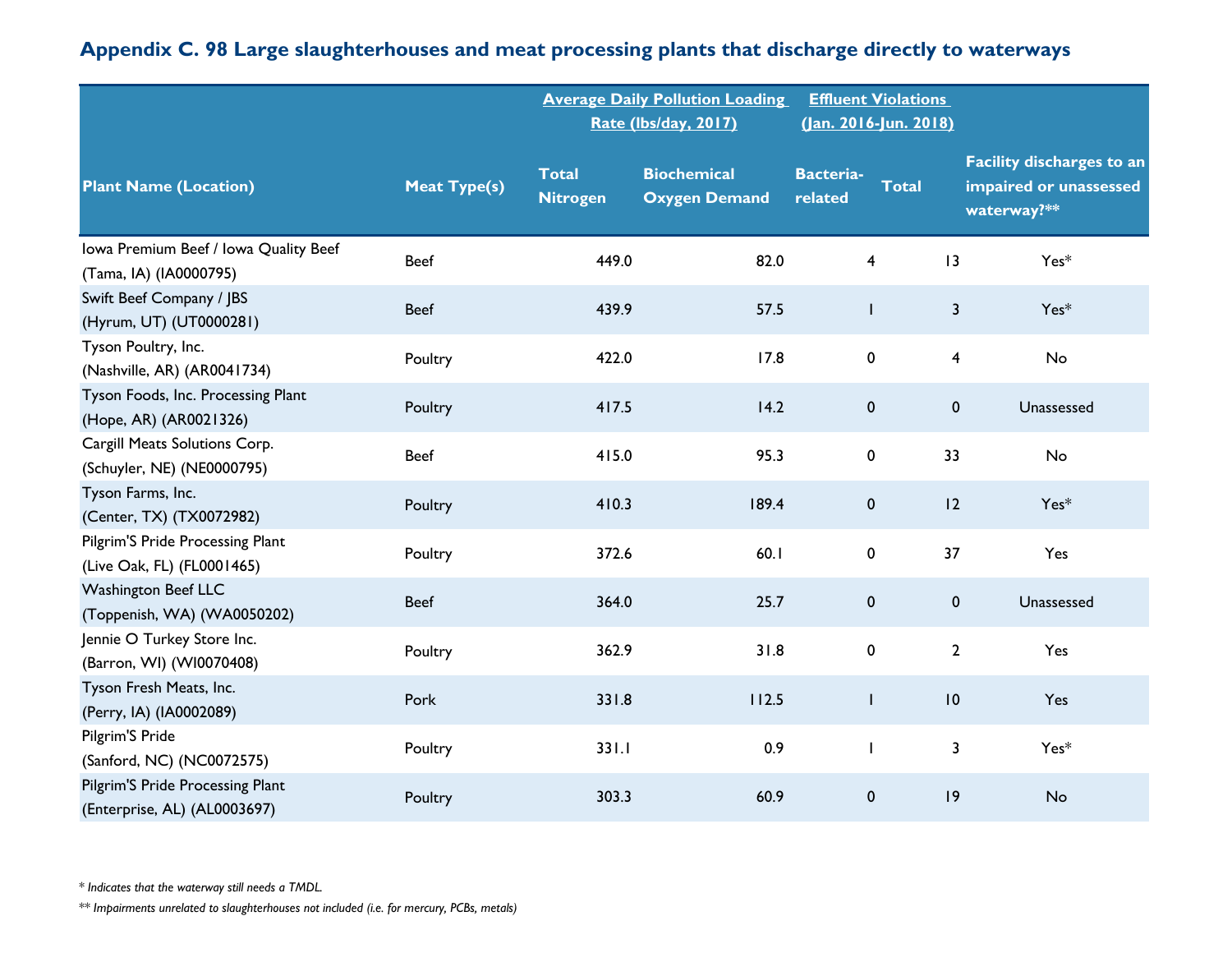|                                                                  |                     |                                 | <b>Average Daily Pollution Loading</b><br>Rate (Ibs/day, 2017) | (Jan. 2016-Jun. 2018)       | <b>Effluent Violations</b> |                                                                           |
|------------------------------------------------------------------|---------------------|---------------------------------|----------------------------------------------------------------|-----------------------------|----------------------------|---------------------------------------------------------------------------|
| <b>Plant Name (Location)</b>                                     | <b>Meat Type(s)</b> | <b>Total</b><br><b>Nitrogen</b> | <b>Biochemical</b><br><b>Oxygen Demand</b>                     | <b>Bacteria-</b><br>related | <b>Total</b>               | <b>Facility discharges to an</b><br>impaired or unassessed<br>waterway?** |
| Iowa Premium Beef / Iowa Quality Beef<br>(Tama, IA) (IA0000795)  | <b>Beef</b>         | 449.0                           | 82.0                                                           | $\overline{\mathbf{4}}$     | 13                         | $Yes*$                                                                    |
| Swift Beef Company / JBS<br>(Hyrum, UT) (UT0000281)              | <b>Beef</b>         | 439.9                           | 57.5                                                           | L                           | $\overline{\mathbf{3}}$    | $Yes*$                                                                    |
| Tyson Poultry, Inc.<br>(Nashville, AR) (AR0041734)               | Poultry             | 422.0                           | 17.8                                                           | $\pmb{0}$                   | 4                          | No                                                                        |
| Tyson Foods, Inc. Processing Plant<br>(Hope, AR) (AR0021326)     | Poultry             | 417.5                           | 14.2                                                           | $\pmb{0}$                   | $\mathbf 0$                | Unassessed                                                                |
| Cargill Meats Solutions Corp.<br>(Schuyler, NE) (NE0000795)      | <b>Beef</b>         | 415.0                           | 95.3                                                           | 0                           | 33                         | No                                                                        |
| Tyson Farms, Inc.<br>(Center, TX) (TX0072982)                    | Poultry             | 410.3                           | 189.4                                                          | $\pmb{0}$                   | 12                         | $Yes*$                                                                    |
| Pilgrim'S Pride Processing Plant<br>(Live Oak, FL) (FL0001465)   | Poultry             | 372.6                           | 60.1                                                           | $\pmb{0}$                   | 37                         | Yes                                                                       |
| <b>Washington Beef LLC</b><br>(Toppenish, WA) (WA0050202)        | <b>Beef</b>         | 364.0                           | 25.7                                                           | $\pmb{0}$                   | $\mathbf 0$                | Unassessed                                                                |
| Jennie O Turkey Store Inc.<br>(Barron, WI) (WI0070408)           | Poultry             | 362.9                           | 31.8                                                           | 0                           | $\mathbf{2}$               | Yes                                                                       |
| Tyson Fresh Meats, Inc.<br>(Perry, IA) (IA0002089)               | Pork                | 331.8                           | 112.5                                                          | $\mathsf{I}$                | 10                         | Yes                                                                       |
| Pilgrim'S Pride<br>(Sanford, NC) (NC0072575)                     | Poultry             | 331.1                           | 0.9                                                            |                             | 3                          | Yes*                                                                      |
| Pilgrim'S Pride Processing Plant<br>(Enterprise, AL) (AL0003697) | Poultry             | 303.3                           | 60.9                                                           | $\pmb{0}$                   | 9                          | No                                                                        |

*\* Indicates that the waterway still needs a TMDL.*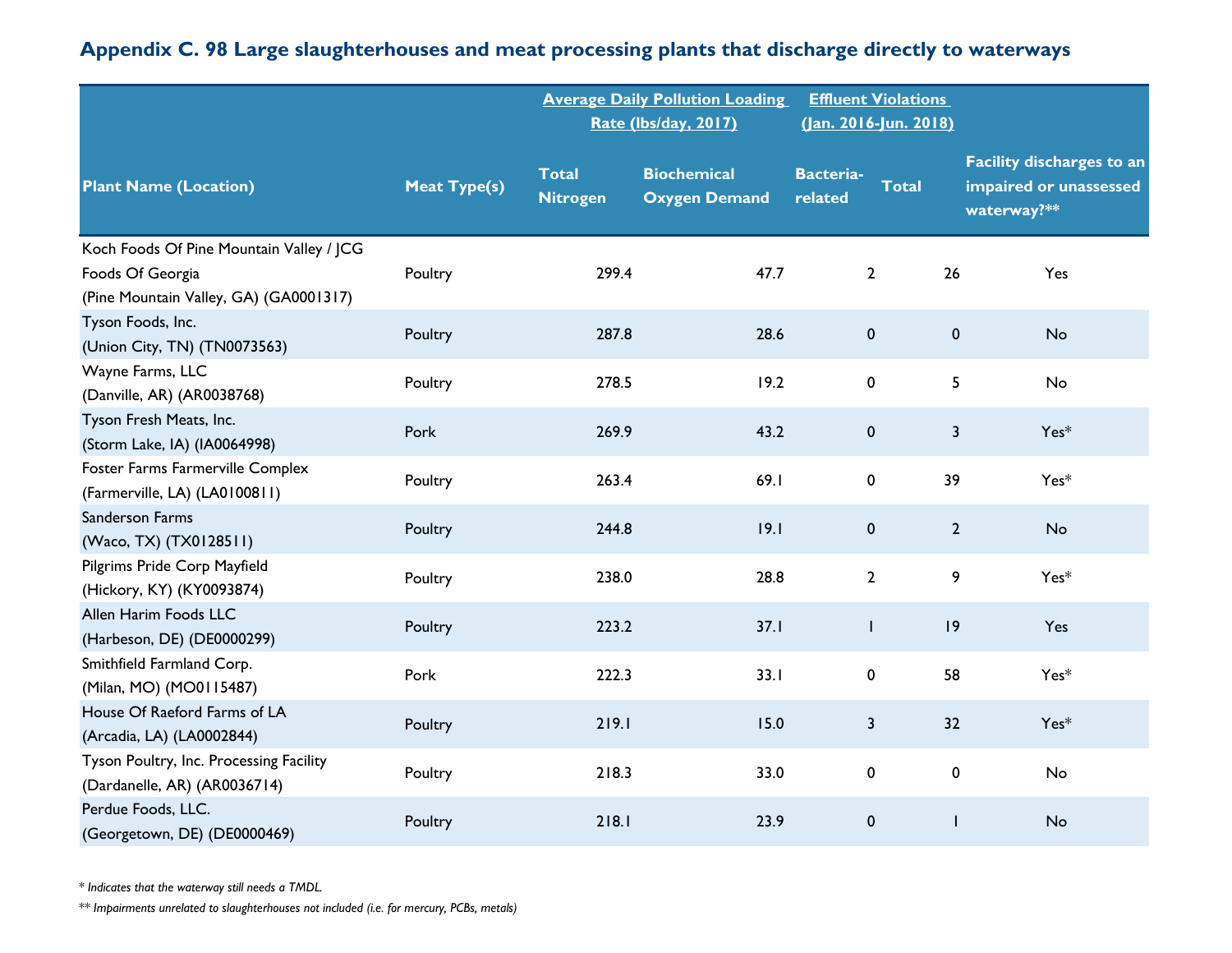#### **Plant Name (Location) Meat Type(s) Total Nitrogen Biochemical Oxygen Demand Bacteriarelated Total Facility discharges to an impaired or unassessed waterway?\*\* Average Daily Pollution Loading Rate (lbs/day, 2017) Effluent Violations (Jan. 2016-Jun. 2018)** Koch Foods Of Pine Mountain Valley / JCG Foods Of Georgia (Pine Mountain Valley, GA) (GA0001317) Poultry 209.4 47.7 2 26 Yes Tyson Foods, Inc. (Union City, TN) (TN0073563) Poultry 287.8 28.6 <sup>0</sup> <sup>0</sup> No Wayne Farms, LLC (Danville, AR) (AR0038768) Poultry 278.5 19.2 <sup>0</sup> <sup>5</sup> No Tyson Fresh Meats, Inc. (Storm Lake, IA) (IA0064998) Pork 269.9 43.2 0 3 Yes\* Foster Farms Farmerville Complex Poultry 263.4 69.1 0 39 Yes\*<br>Farmerville, LA) (LA0100811) Poultry 263.4 69.1 0 39 Yes\* Sanderson Farms المسابق المسابق المسابق المسابق المسابق المسابق المسابق المسابق المسابق المسابق المسابق المسابق المسابق المساب<br>المسابق المسابق المسابق المسابق المسابق المسابق المسابق المسابق المسابق المسابق المسابق المسابق المسابق المساب Pilgrims Pride Corp Mayfield rights inde Corp Fraguesia<br>(Hickory, KY) (KY0093874) Poultry 238.0 28.8 2 9 Yes\* Allen Harim Foods LLC (Harbeson, DE) (DE0000299) Poultry 223.2 37.1 <sup>1</sup> <sup>19</sup> Yes Smithfield Farmland Corp. (Milan, MO) (MO0115487) Pork 222.3 33.1 0 58 Yes\* House Of Raeford Farms of LA (Arcadia, LA) (LA0002844) Poultry 219.1 15.0 <sup>3</sup> <sup>32</sup> Yes\* Tyson Poultry, Inc. Processing Facility ryson road y, me. rrocessing racincy<br>(Dardanelle, AR) (AR0036714) Poultry 218.3 33.0 0 0 No Perdue Foods, LLC. (Georgetown, DE) (DE0000469) Poultry 218.1 23.9 <sup>0</sup> <sup>1</sup> No

## **Appendix C. 98 Large slaughterhouses and meat processing plants that discharge directly to waterways**

*\* Indicates that the waterway still needs a TMDL.*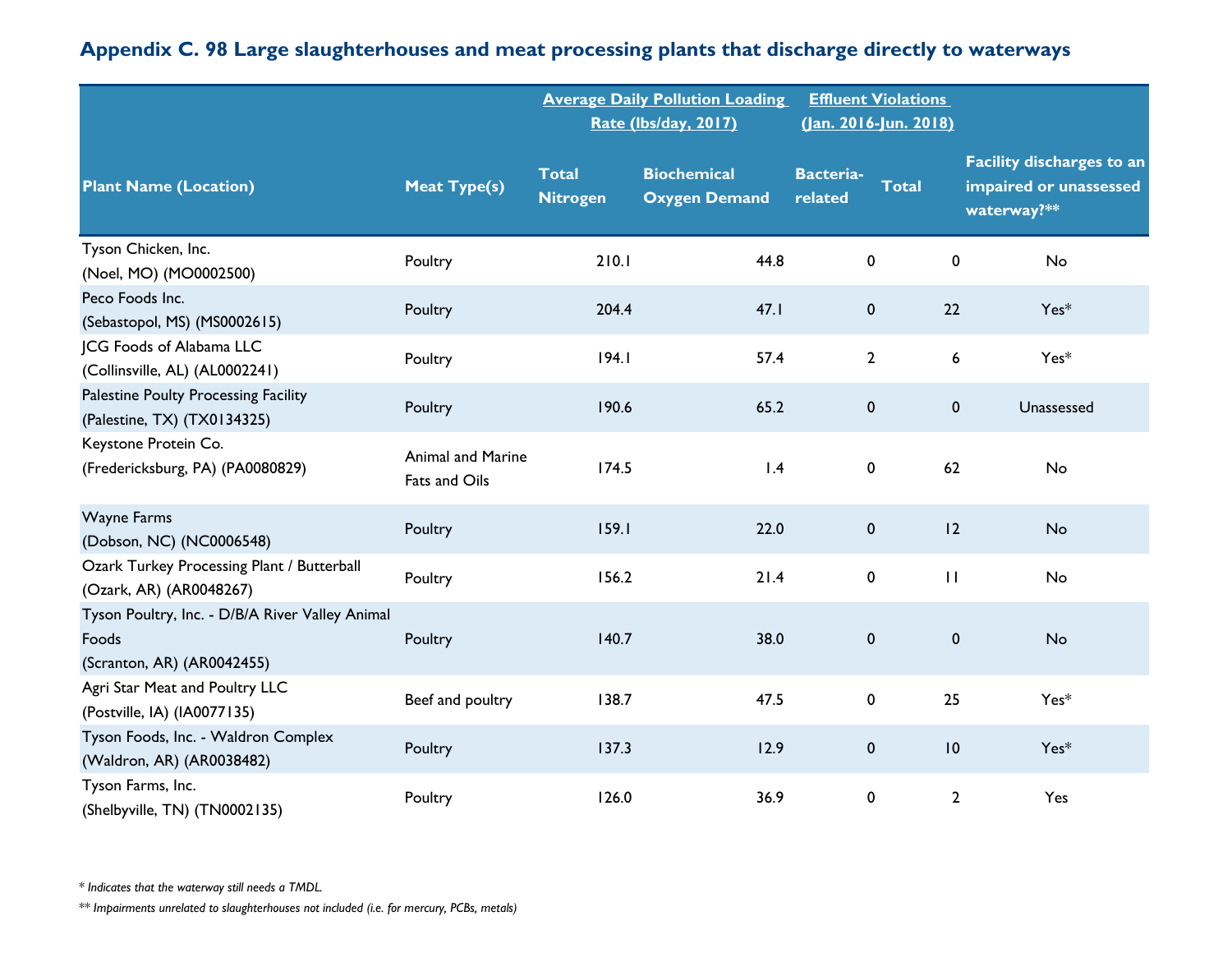|                                                                                        |                                           |                                 | <b>Average Daily Pollution Loading</b><br>Rate (lbs/day, 2017) | (Jan. 2016-Jun. 2018)       | <b>Effluent Violations</b> |                                                                           |
|----------------------------------------------------------------------------------------|-------------------------------------------|---------------------------------|----------------------------------------------------------------|-----------------------------|----------------------------|---------------------------------------------------------------------------|
| <b>Plant Name (Location)</b>                                                           | <b>Meat Type(s)</b>                       | <b>Total</b><br><b>Nitrogen</b> | <b>Biochemical</b><br><b>Oxygen Demand</b>                     | <b>Bacteria-</b><br>related | <b>Total</b>               | <b>Facility discharges to an</b><br>impaired or unassessed<br>waterway?** |
| Tyson Chicken, Inc.<br>(Noel, MO) (MO0002500)                                          | Poultry                                   | 210.1                           | 44.8                                                           | $\pmb{0}$                   | $\pmb{0}$                  | No                                                                        |
| Peco Foods Inc.<br>(Sebastopol, MS) (MS0002615)                                        | Poultry                                   | 204.4                           | 47.1                                                           | $\pmb{0}$                   | 22                         | $Yes*$                                                                    |
| JCG Foods of Alabama LLC<br>(Collinsville, AL) (AL0002241)                             | Poultry                                   | 194.1                           | 57.4                                                           | $2^{\circ}$                 | 6                          | $Yes*$                                                                    |
| Palestine Poulty Processing Facility<br>(Palestine, TX) (TX0134325)                    | Poultry                                   | 190.6                           | 65.2                                                           | $\pmb{0}$                   | $\pmb{0}$                  | Unassessed                                                                |
| Keystone Protein Co.<br>(Fredericksburg, PA) (PA0080829)                               | <b>Animal and Marine</b><br>Fats and Oils | 174.5                           | 1.4                                                            | $\pmb{0}$                   | 62                         | No                                                                        |
| <b>Wayne Farms</b><br>(Dobson, NC) (NC0006548)                                         | Poultry                                   | 159.1                           | 22.0                                                           | $\pmb{0}$                   | 12                         | <b>No</b>                                                                 |
| Ozark Turkey Processing Plant / Butterball<br>(Ozark, AR) (AR0048267)                  | Poultry                                   | 156.2                           | 21.4                                                           | $\pmb{0}$                   | $\mathbf{H}$               | No                                                                        |
| Tyson Poultry, Inc. - D/B/A River Valley Animal<br>Foods<br>(Scranton, AR) (AR0042455) | Poultry                                   | 140.7                           | 38.0                                                           | $\pmb{0}$                   | $\pmb{0}$                  | <b>No</b>                                                                 |
| Agri Star Meat and Poultry LLC<br>(Postville, IA) (IA0077135)                          | Beef and poultry                          | 138.7                           | 47.5                                                           | 0                           | 25                         | Yes*                                                                      |
| Tyson Foods, Inc. - Waldron Complex<br>(Waldron, AR) (AR0038482)                       | Poultry                                   | 137.3                           | 12.9                                                           | $\pmb{0}$                   | $ 0\rangle$                | $Yes*$                                                                    |
| Tyson Farms, Inc.<br>(Shelbyville, TN) (TN0002135)                                     | Poultry                                   | 126.0                           | 36.9                                                           | $\mathbf 0$                 | $\overline{2}$             | Yes                                                                       |

*\* Indicates that the waterway still needs a TMDL.*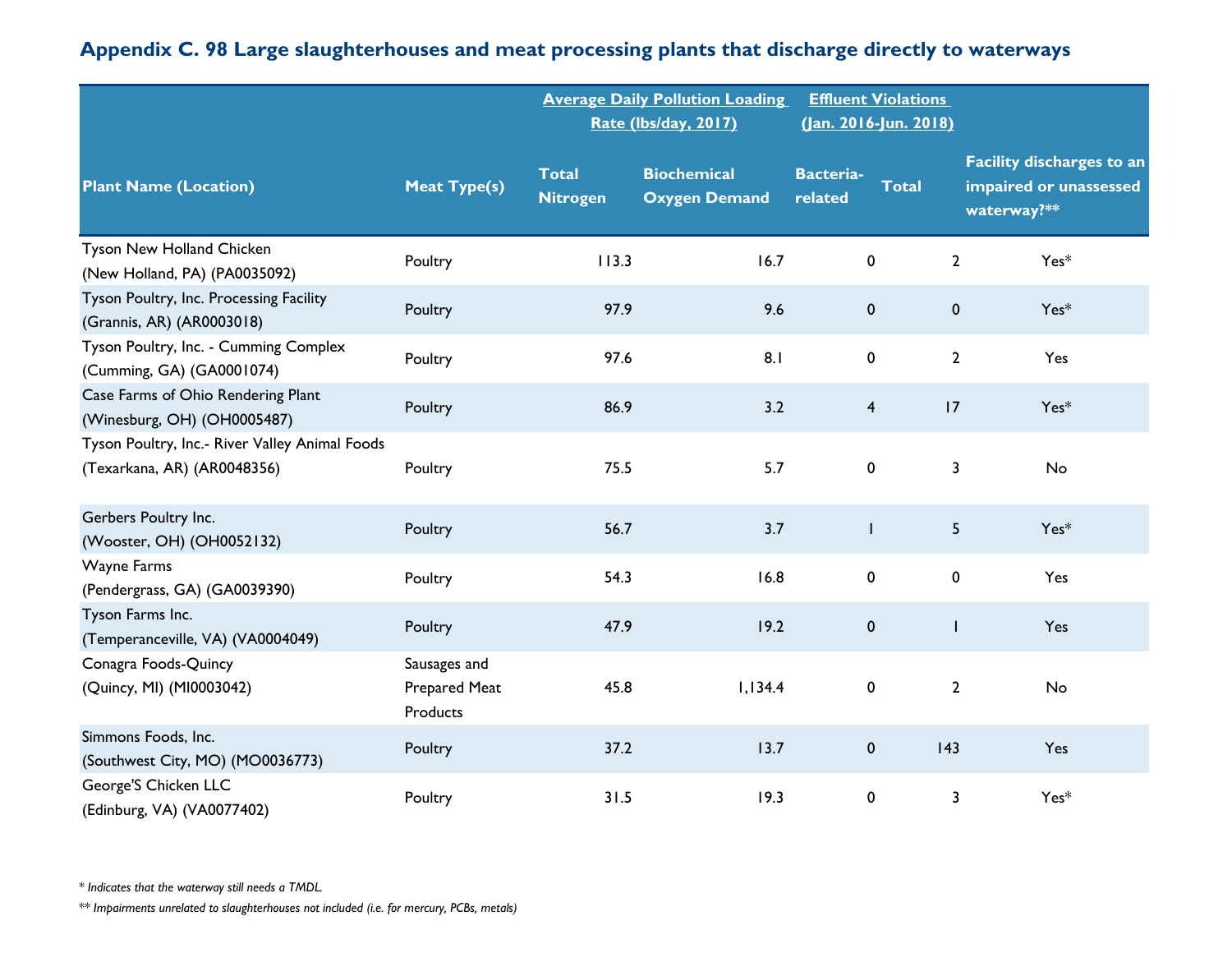|                                                                               |                                           |                                 | <b>Average Daily Pollution Loading</b><br>Rate (lbs/day, 2017) |                             | <b>Effluent Violations</b><br>(Jan. 2016-Jun. 2018) |                                                                           |
|-------------------------------------------------------------------------------|-------------------------------------------|---------------------------------|----------------------------------------------------------------|-----------------------------|-----------------------------------------------------|---------------------------------------------------------------------------|
| <b>Plant Name (Location)</b>                                                  | <b>Meat Type(s)</b>                       | <b>Total</b><br><b>Nitrogen</b> | <b>Biochemical</b><br><b>Oxygen Demand</b>                     | <b>Bacteria-</b><br>related | <b>Total</b>                                        | <b>Facility discharges to an</b><br>impaired or unassessed<br>waterway?** |
| Tyson New Holland Chicken<br>(New Holland, PA) (PA0035092)                    | Poultry                                   | 113.3                           | 16.7                                                           | $\pmb{0}$                   | $\mathbf{2}$                                        | $Yes*$                                                                    |
| Tyson Poultry, Inc. Processing Facility<br>(Grannis, AR) (AR0003018)          | Poultry                                   | 97.9                            | 9.6                                                            | $\mathbf 0$                 | $\mathbf 0$                                         | $Yes*$                                                                    |
| Tyson Poultry, Inc. - Cumming Complex<br>(Cumming, GA) (GA0001074)            | Poultry                                   | 97.6                            | 8.1                                                            | 0                           | $\mathbf{2}$                                        | Yes                                                                       |
| Case Farms of Ohio Rendering Plant<br>(Winesburg, OH) (OH0005487)             | Poultry                                   | 86.9                            | 3.2                                                            | $\overline{\mathbf{4}}$     | 17                                                  | $Yes*$                                                                    |
| Tyson Poultry, Inc.- River Valley Animal Foods<br>(Texarkana, AR) (AR0048356) | Poultry                                   | 75.5                            | 5.7                                                            | $\pmb{0}$                   | 3                                                   | No                                                                        |
| Gerbers Poultry Inc.<br>(Wooster, OH) (OH0052132)                             | Poultry                                   | 56.7                            | 3.7                                                            | $\mathsf{I}$                | 5                                                   | $Yes*$                                                                    |
| Wayne Farms<br>(Pendergrass, GA) (GA0039390)                                  | Poultry                                   | 54.3                            | 16.8                                                           | 0                           | 0                                                   | Yes                                                                       |
| Tyson Farms Inc.<br>(Temperanceville, VA) (VA0004049)                         | Poultry                                   | 47.9                            | 19.2                                                           | $\pmb{0}$                   |                                                     | Yes                                                                       |
| Conagra Foods-Quincy<br>(Quincy, MI) (MI0003042)                              | Sausages and<br>Prepared Meat<br>Products | 45.8                            | 1,134.4                                                        | 0                           | $\mathbf{2}$                                        | No                                                                        |
| Simmons Foods, Inc.<br>(Southwest City, MO) (MO0036773)                       | Poultry                                   | 37.2                            | 13.7                                                           | 0                           | 143                                                 | Yes                                                                       |
| George'S Chicken LLC<br>(Edinburg, VA) (VA0077402)                            | Poultry                                   | 31.5                            | 19.3                                                           | 0                           | 3                                                   | Yes*                                                                      |

*\* Indicates that the waterway still needs a TMDL.*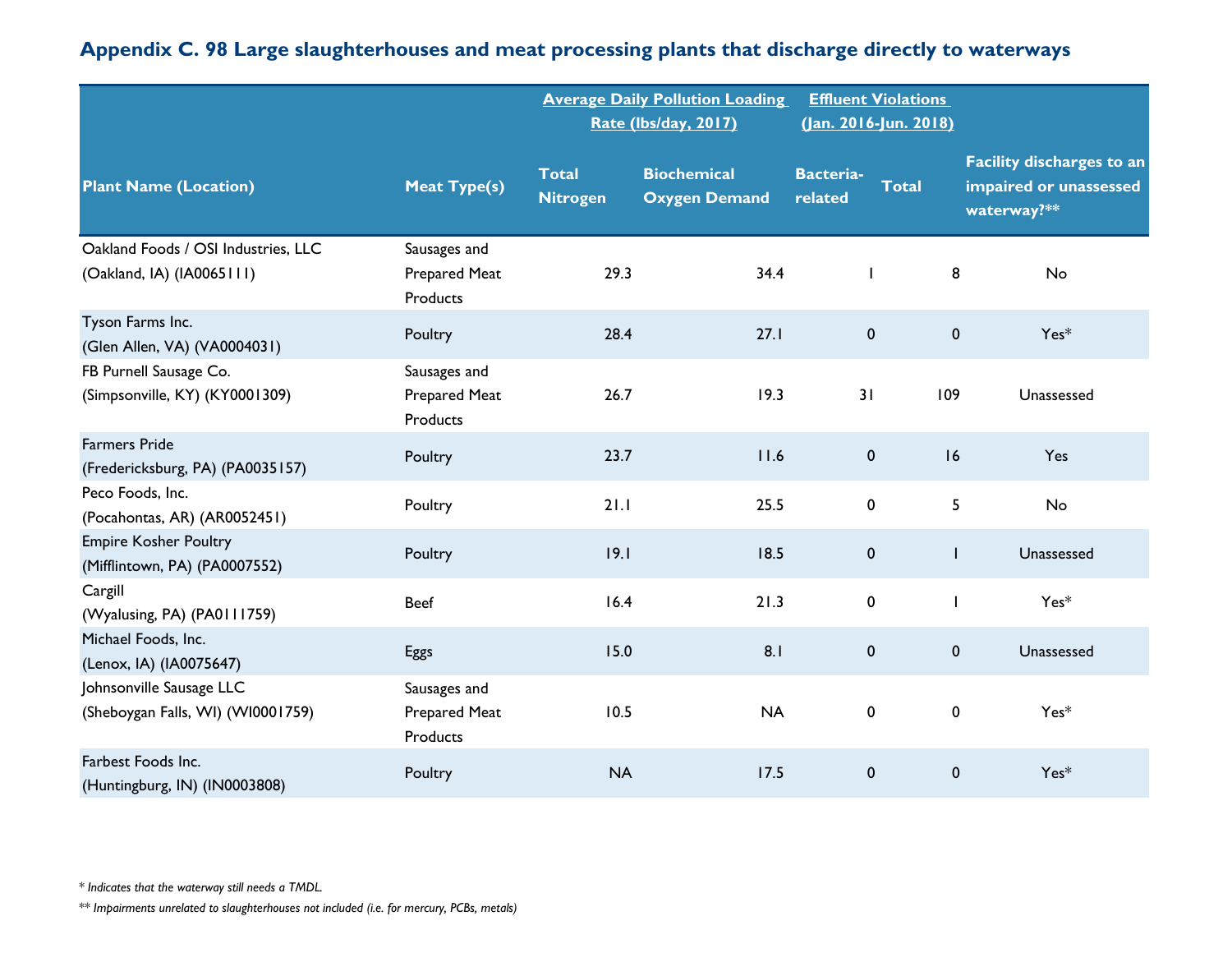|                                                                  |                                                  |                                 | <b>Average Daily Pollution Loading</b><br>Rate (lbs/day, 2017) | <b>Effluent Violations</b><br>(Jan. 2016-Jun. 2018) |              |                                                                           |
|------------------------------------------------------------------|--------------------------------------------------|---------------------------------|----------------------------------------------------------------|-----------------------------------------------------|--------------|---------------------------------------------------------------------------|
| <b>Plant Name (Location)</b>                                     | <b>Meat Type(s)</b>                              | <b>Total</b><br><b>Nitrogen</b> | <b>Biochemical</b><br><b>Oxygen Demand</b>                     | <b>Bacteria-</b><br>related                         | <b>Total</b> | <b>Facility discharges to an</b><br>impaired or unassessed<br>waterway?** |
| Oakland Foods / OSI Industries, LLC<br>(Oakland, IA) (IA0065111) | Sausages and<br>Prepared Meat<br>Products        | 29.3                            | 34.4                                                           | $\mathbf{I}$                                        | 8            | No                                                                        |
| Tyson Farms Inc.<br>(Glen Allen, VA) (VA0004031)                 | Poultry                                          | 28.4                            | 27.1                                                           | $\pmb{0}$                                           | $\mathbf 0$  | $Yes*$                                                                    |
| FB Purnell Sausage Co.<br>(Simpsonville, KY) (KY0001309)         | Sausages and<br>Prepared Meat<br><b>Products</b> | 26.7                            | 19.3                                                           | 31                                                  | 109          | Unassessed                                                                |
| <b>Farmers Pride</b><br>(Fredericksburg, PA) (PA0035157)         | Poultry                                          | 23.7                            | 11.6                                                           | 0                                                   | 16           | Yes                                                                       |
| Peco Foods, Inc.<br>(Pocahontas, AR) (AR0052451)                 | Poultry                                          | 21.1                            | 25.5                                                           | 0                                                   | 5            | No                                                                        |
| <b>Empire Kosher Poultry</b><br>(Mifflintown, PA) (PA0007552)    | Poultry                                          | 19.1                            | 18.5                                                           | $\pmb{0}$                                           | $\mathbf{I}$ | Unassessed                                                                |
| Cargill<br>(Wyalusing, PA) (PA0111759)                           | <b>Beef</b>                                      | 16.4                            | 21.3                                                           | $\pmb{0}$                                           | $\mathbf{I}$ | $Yes*$                                                                    |
| Michael Foods, Inc.<br>(Lenox, IA) (IA0075647)                   | Eggs                                             | 15.0                            | 8.1                                                            | 0                                                   | $\mathbf 0$  | Unassessed                                                                |
| Johnsonville Sausage LLC<br>(Sheboygan Falls, WI) (WI0001759)    | Sausages and<br>Prepared Meat<br>Products        | 10.5                            | <b>NA</b>                                                      | $\mathbf 0$                                         | $\pmb{0}$    | $Yes*$                                                                    |
| Farbest Foods Inc.<br>(Huntingburg, IN) (IN0003808)              | Poultry                                          | <b>NA</b>                       | 17.5                                                           | $\mathbf 0$                                         | $\mathbf 0$  | $Yes*$                                                                    |

*\* Indicates that the waterway still needs a TMDL.*